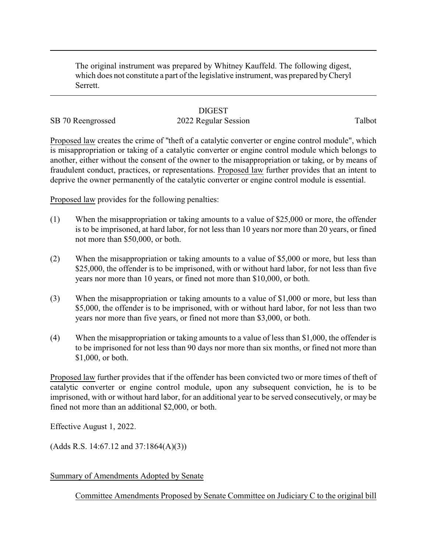The original instrument was prepared by Whitney Kauffeld. The following digest, which does not constitute a part of the legislative instrument, was prepared byCheryl Serrett.

## **DIGEST**

## SB 70 Reengrossed 2022 Regular Session Talbot

Proposed law creates the crime of "theft of a catalytic converter or engine control module", which is misappropriation or taking of a catalytic converter or engine control module which belongs to another, either without the consent of the owner to the misappropriation or taking, or by means of fraudulent conduct, practices, or representations. Proposed law further provides that an intent to deprive the owner permanently of the catalytic converter or engine control module is essential.

Proposed law provides for the following penalties:

- (1) When the misappropriation or taking amounts to a value of \$25,000 or more, the offender is to be imprisoned, at hard labor, for not less than 10 years nor more than 20 years, or fined not more than \$50,000, or both.
- (2) When the misappropriation or taking amounts to a value of \$5,000 or more, but less than \$25,000, the offender is to be imprisoned, with or without hard labor, for not less than five years nor more than 10 years, or fined not more than \$10,000, or both.
- (3) When the misappropriation or taking amounts to a value of \$1,000 or more, but less than \$5,000, the offender is to be imprisoned, with or without hard labor, for not less than two years nor more than five years, or fined not more than \$3,000, or both.
- (4) When the misappropriation or taking amounts to a value of less than \$1,000, the offender is to be imprisoned for not less than 90 days nor more than six months, or fined not more than \$1,000, or both.

Proposed law further provides that if the offender has been convicted two or more times of theft of catalytic converter or engine control module, upon any subsequent conviction, he is to be imprisoned, with or without hard labor, for an additional year to be served consecutively, or may be fined not more than an additional \$2,000, or both.

Effective August 1, 2022.

(Adds R.S. 14:67.12 and 37:1864(A)(3))

Summary of Amendments Adopted by Senate

Committee Amendments Proposed by Senate Committee on Judiciary C to the original bill